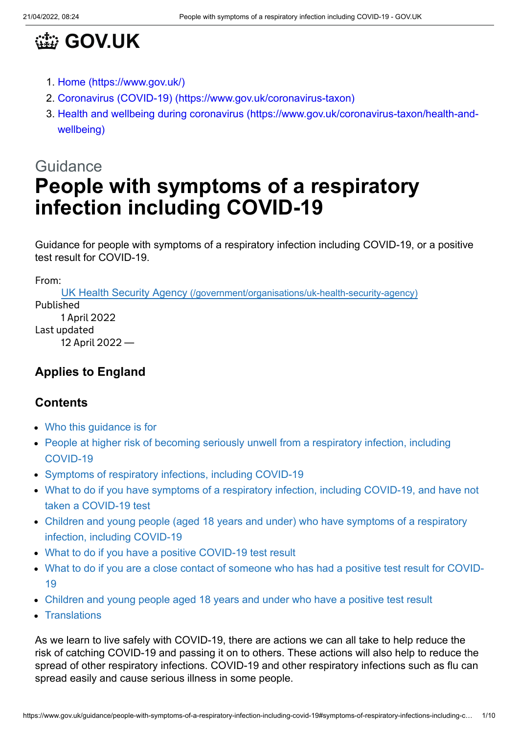

- 1. [Home \(https://www.gov.uk/\)](https://www.gov.uk/)
- 2. [Coronavirus \(COVID-19\) \(https://www.gov.uk/coronavirus-taxon\)](https://www.gov.uk/coronavirus-taxon)
- 3. [Health and wellbeing during coronavirus \(https://www.gov.uk/coronavirus-taxon/health-and](https://www.gov.uk/coronavirus-taxon/health-and-wellbeing)wellbeing)

# **Guidance People with symptoms of a respiratory infection including COVID-19**

Guidance for people with symptoms of a respiratory infection including COVID-19, or a positive test result for COVID-19.

From:

UK Health Security Agency [\(/government/organisations/uk-health-security-agency\)](https://www.gov.uk/government/organisations/uk-health-security-agency) Published 1 April 2022 Last updated

12 April 2022 —

# **Applies to England**

#### **Contents**

- [Who this guidance is for](#page-1-0)
- [People at higher risk of becoming seriously unwell from a respiratory infection, including](#page-1-1) COVID-19
- [Symptoms of respiratory infections, including COVID-19](#page-1-2)
- [What to do if you have symptoms of a respiratory infection, including COVID-19, and have not](#page-2-0) taken a COVID-19 test
- [Children and young people \(aged 18 years and under\) who have symptoms of a respiratory](#page-4-0) infection, including COVID-19
- [What to do if you have a positive COVID-19 test result](#page-4-1)
- [What to do if you are a close contact of someone who has had a positive test result for COVID-](#page-6-0)19
- [Children and young people aged 18 years and under who have a positive test result](#page-7-0)
- [Translations](#page-7-1)

As we learn to live safely with COVID-19, there are actions we can all take to help reduce the risk of catching COVID-19 and passing it on to others. These actions will also help to reduce the spread of other respiratory infections. COVID-19 and other respiratory infections such as flu can spread easily and cause serious illness in some people.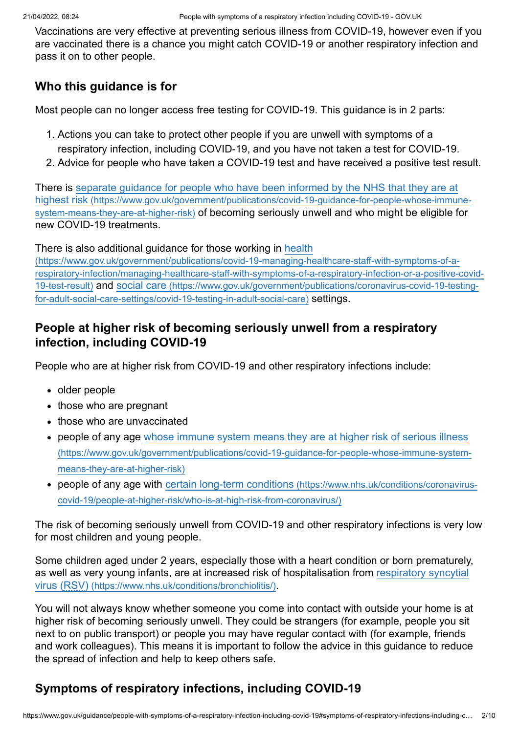Vaccinations are very effective at preventing serious illness from COVID-19, however even if you are vaccinated there is a chance you might catch COVID-19 or another respiratory infection and pass it on to other people.

#### <span id="page-1-0"></span>**Who this guidance is for**

Most people can no longer access free testing for COVID-19. This guidance is in 2 parts:

- 1. Actions you can take to protect other people if you are unwell with symptoms of a respiratory infection, including COVID-19, and you have not taken a test for COVID-19.
- 2. Advice for people who have taken a COVID-19 test and have received a positive test result.

[There is separate guidance for people who have been informed by the NHS that they are at](https://www.gov.uk/government/publications/covid-19-guidance-for-people-whose-immune-system-means-they-are-at-higher-risk) highest risk (https://www.gov.uk/government/publications/covid-19-guidance-for-people-whose-immunesystem-means-they-are-at-higher-risk) of becoming seriously unwell and who might be eligible for new COVID-19 treatments.

There is also additional guidance for those working in health

(https://www.gov.uk/government/publications/covid-19-managing-healthcare-staff-with-symptoms-of-a[respiratory-infection/managing-healthcare-staff-with-symptoms-of-a-respiratory-infection-or-a-positive-covid-](https://www.gov.uk/government/publications/covid-19-managing-healthcare-staff-with-symptoms-of-a-respiratory-infection/managing-healthcare-staff-with-symptoms-of-a-respiratory-infection-or-a-positive-covid-19-test-result)19-test-result) and social care [\(https://www.gov.uk/government/publications/coronavirus-covid-19-testing](https://www.gov.uk/government/publications/coronavirus-covid-19-testing-for-adult-social-care-settings/covid-19-testing-in-adult-social-care)for-adult-social-care-settings/covid-19-testing-in-adult-social-care) settings.

#### <span id="page-1-1"></span>**People at higher risk of becoming seriously unwell from a respiratory infection, including COVID-19**

People who are at higher risk from COVID-19 and other respiratory infections include:

- older people
- those who are pregnant
- those who are unvaccinated
- [people of any age whose immune system means they are at higher risk of serious illness](https://www.gov.uk/government/publications/covid-19-guidance-for-people-whose-immune-system-means-they-are-at-higher-risk) (https://www.gov.uk/government/publications/covid-19-guidance-for-people-whose-immune-systemmeans-they-are-at-higher-risk)
- people of any age with certain long-term conditions (https://www.nhs.uk/conditions/coronavirus[covid-19/people-at-higher-risk/who-is-at-high-risk-from-coronavirus/\)](https://www.nhs.uk/conditions/coronavirus-covid-19/people-at-higher-risk/who-is-at-high-risk-from-coronavirus/)

The risk of becoming seriously unwell from COVID-19 and other respiratory infections is very low for most children and young people.

Some children aged under 2 years, especially those with a heart condition or born prematurely, [as well as very young infants, are at increased risk of hospitalisation from respiratory syncytial](https://www.nhs.uk/conditions/bronchiolitis/) virus (RSV) (https://www.nhs.uk/conditions/bronchiolitis/).

You will not always know whether someone you come into contact with outside your home is at higher risk of becoming seriously unwell. They could be strangers (for example, people you sit next to on public transport) or people you may have regular contact with (for example, friends and work colleagues). This means it is important to follow the advice in this guidance to reduce the spread of infection and help to keep others safe.

# <span id="page-1-2"></span>**Symptoms of respiratory infections, including COVID-19**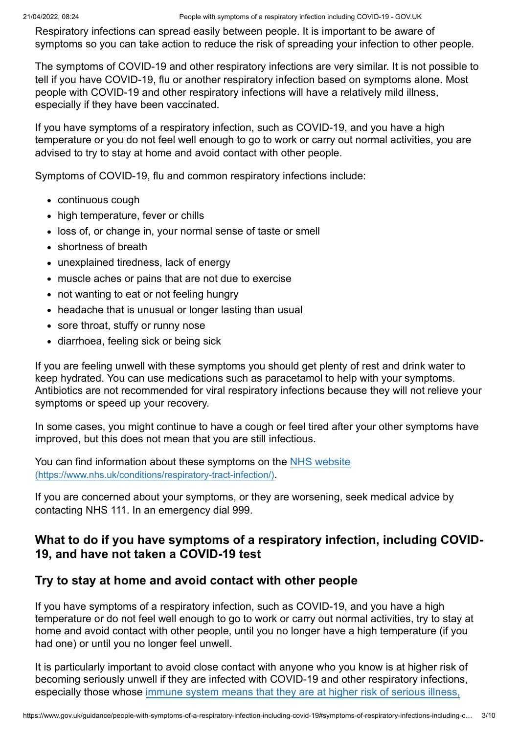Respiratory infections can spread easily between people. It is important to be aware of symptoms so you can take action to reduce the risk of spreading your infection to other people.

The symptoms of COVID-19 and other respiratory infections are very similar. It is not possible to tell if you have COVID-19, flu or another respiratory infection based on symptoms alone. Most people with COVID-19 and other respiratory infections will have a relatively mild illness, especially if they have been vaccinated.

If you have symptoms of a respiratory infection, such as COVID-19, and you have a high temperature or you do not feel well enough to go to work or carry out normal activities, you are advised to try to stay at home and avoid contact with other people.

Symptoms of COVID-19, flu and common respiratory infections include:

- continuous cough
- high temperature, fever or chills
- loss of, or change in, your normal sense of taste or smell
- shortness of breath
- unexplained tiredness, lack of energy
- muscle aches or pains that are not due to exercise
- not wanting to eat or not feeling hungry
- headache that is unusual or longer lasting than usual
- sore throat, stuffy or runny nose
- diarrhoea, feeling sick or being sick

If you are feeling unwell with these symptoms you should get plenty of rest and drink water to keep hydrated. You can use medications such as paracetamol to help with your symptoms. Antibiotics are not recommended for viral respiratory infections because they will not relieve your symptoms or speed up your recovery.

In some cases, you might continue to have a cough or feel tired after your other symptoms have improved, but this does not mean that you are still infectious.

[You can find information about these symptoms on the NHS website](https://www.nhs.uk/conditions/respiratory-tract-infection/) (https://www.nhs.uk/conditions/respiratory-tract-infection/).

If you are concerned about your symptoms, or they are worsening, seek medical advice by contacting NHS 111. In an emergency dial 999.

#### <span id="page-2-0"></span>**What to do if you have symptoms of a respiratory infection, including COVID-19, and have not taken a COVID-19 test**

#### **Try to stay at home and avoid contact with other people**

If you have symptoms of a respiratory infection, such as COVID-19, and you have a high temperature or do not feel well enough to go to work or carry out normal activities, try to stay at home and avoid contact with other people, until you no longer have a high temperature (if you had one) or until you no longer feel unwell.

It is particularly important to avoid close contact with anyone who you know is at higher risk of becoming seriously unwell if they are infected with COVID-19 and other respiratory infections, [especially those whose immune system means that they are at higher risk of serious illness,](https://www.gov.uk/government/publications/covid-19-guidance-for-people-whose-immune-system-means-they-are-at-higher-risk)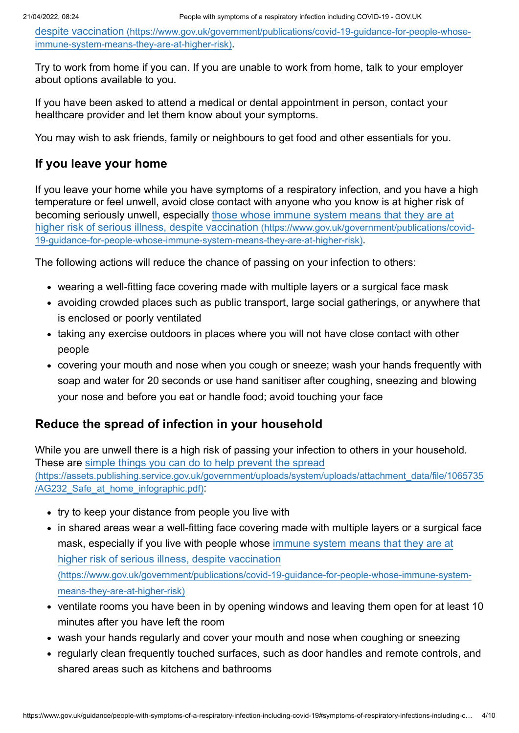despite vaccination [\(https://www.gov.uk/government/publications/covid-19-guidance-for-people-whose](https://www.gov.uk/government/publications/covid-19-guidance-for-people-whose-immune-system-means-they-are-at-higher-risk)immune-system-means-they-are-at-higher-risk).

Try to work from home if you can. If you are unable to work from home, talk to your employer about options available to you.

If you have been asked to attend a medical or dental appointment in person, contact your healthcare provider and let them know about your symptoms.

You may wish to ask friends, family or neighbours to get food and other essentials for you.

#### **If you leave your home**

If you leave your home while you have symptoms of a respiratory infection, and you have a high temperature or feel unwell, avoid close contact with anyone who you know is at higher risk of [becoming seriously unwell, especially those whose immune system means that they are at](https://www.gov.uk/government/publications/covid-19-guidance-for-people-whose-immune-system-means-they-are-at-higher-risk) higher risk of serious illness, despite vaccination (https://www.gov.uk/government/publications/covid-19-guidance-for-people-whose-immune-system-means-they-are-at-higher-risk).

The following actions will reduce the chance of passing on your infection to others:

- wearing a well-fitting face covering made with multiple layers or a surgical face mask
- avoiding crowded places such as public transport, large social gatherings, or anywhere that is enclosed or poorly ventilated
- taking any exercise outdoors in places where you will not have close contact with other people
- covering your mouth and nose when you cough or sneeze; wash your hands frequently with soap and water for 20 seconds or use hand sanitiser after coughing, sneezing and blowing your nose and before you eat or handle food; avoid touching your face

#### **Reduce the spread of infection in your household**

While you are unwell there is a high risk of passing your infection to others in your household. These are simple things you can do to help prevent the spread [\(https://assets.publishing.service.gov.uk/government/uploads/system/uploads/attachment\\_data/file/1065735](https://assets.publishing.service.gov.uk/government/uploads/system/uploads/attachment_data/file/1065735/AG232_Safe_at_home_infographic.pdf) /AG232\_Safe\_at\_home\_infographic.pdf):

- try to keep your distance from people you live with
- in shared areas wear a well-fitting face covering made with multiple layers or a surgical face [mask, especially if you live with people whose immune system means that they are at](https://www.gov.uk/government/publications/covid-19-guidance-for-people-whose-immune-system-means-they-are-at-higher-risk) higher risk of serious illness, despite vaccination (https://www.gov.uk/government/publications/covid-19-guidance-for-people-whose-immune-systemmeans-they-are-at-higher-risk)
- ventilate rooms you have been in by opening windows and leaving them open for at least 10 minutes after you have left the room
- wash your hands regularly and cover your mouth and nose when coughing or sneezing
- regularly clean frequently touched surfaces, such as door handles and remote controls, and shared areas such as kitchens and bathrooms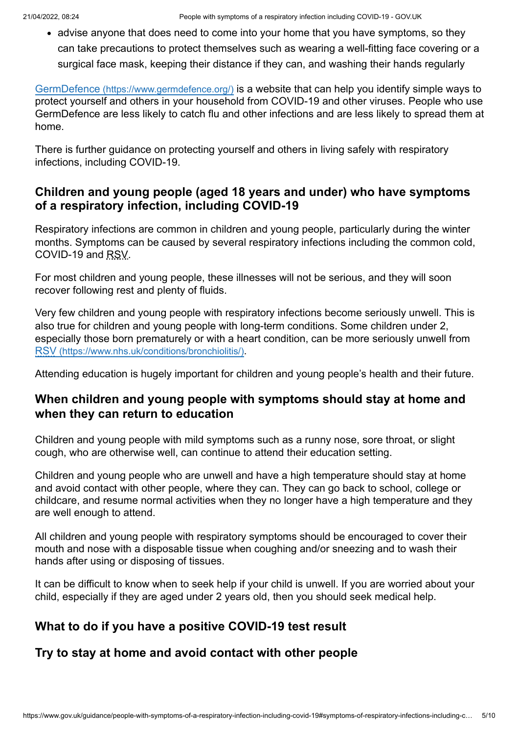• advise anyone that does need to come into your home that you have symptoms, so they can take precautions to protect themselves such as wearing a well-fitting face covering or a surgical face mask, keeping their distance if they can, and washing their hands regularly

GermDefence [\(https://www.germdefence.org/\)](https://www.germdefence.org/) is a website that can help you identify simple ways to protect yourself and others in your household from COVID-19 and other viruses. People who use GermDefence are less likely to catch flu and other infections and are less likely to spread them at home.

There is further guidance on protecting yourself and others in living safely with respiratory infections, including COVID-19.

#### <span id="page-4-0"></span>**Children and young people (aged 18 years and under) who have symptoms of a respiratory infection, including COVID-19**

Respiratory infections are common in children and young people, particularly during the winter months. Symptoms can be caused by several respiratory infections including the common cold, COVID-19 and RSV.

For most children and young people, these illnesses will not be serious, and they will soon recover following rest and plenty of fluids.

Very few children and young people with respiratory infections become seriously unwell. This is also true for children and young people with long-term conditions. Some children under 2, especially those born prematurely or with a heart condition, can be more seriously unwell from RSV [\(https://www.nhs.uk/conditions/bronchiolitis/\)](https://www.nhs.uk/conditions/bronchiolitis/).

Attending education is hugely important for children and young people's health and their future.

#### **When children and young people with symptoms should stay at home and when they can return to education**

Children and young people with mild symptoms such as a runny nose, sore throat, or slight cough, who are otherwise well, can continue to attend their education setting.

Children and young people who are unwell and have a high temperature should stay at home and avoid contact with other people, where they can. They can go back to school, college or childcare, and resume normal activities when they no longer have a high temperature and they are well enough to attend.

All children and young people with respiratory symptoms should be encouraged to cover their mouth and nose with a disposable tissue when coughing and/or sneezing and to wash their hands after using or disposing of tissues.

It can be difficult to know when to seek help if your child is unwell. If you are worried about your child, especially if they are aged under 2 years old, then you should seek medical help.

# <span id="page-4-1"></span>**What to do if you have a positive COVID-19 test result**

#### **Try to stay at home and avoid contact with other people**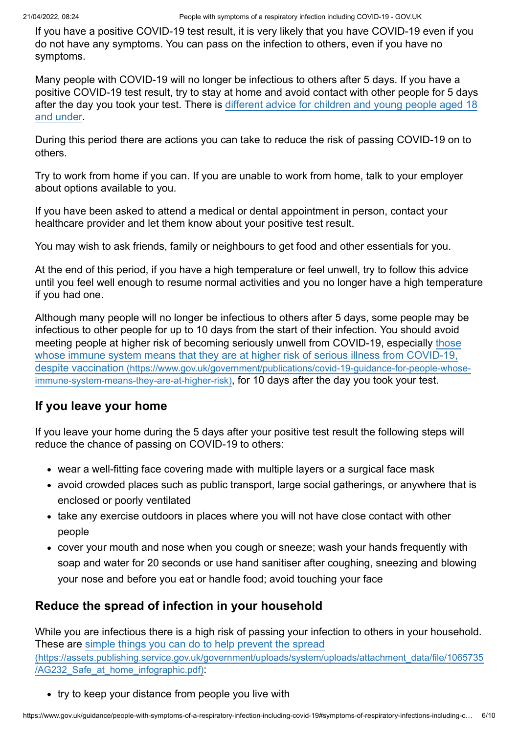If you have a positive COVID-19 test result, it is very likely that you have COVID-19 even if you do not have any symptoms. You can pass on the infection to others, even if you have no symptoms.

Many people with COVID-19 will no longer be infectious to others after 5 days. If you have a positive COVID-19 test result, try to stay at home and avoid contact with other people for 5 days [after the day you took your test. There is different advice for children and young people aged 18](#page-7-0) and under.

During this period there are actions you can take to reduce the risk of passing COVID-19 on to others.

Try to work from home if you can. If you are unable to work from home, talk to your employer about options available to you.

If you have been asked to attend a medical or dental appointment in person, contact your healthcare provider and let them know about your positive test result.

You may wish to ask friends, family or neighbours to get food and other essentials for you.

At the end of this period, if you have a high temperature or feel unwell, try to follow this advice until you feel well enough to resume normal activities and you no longer have a high temperature if you had one.

Although many people will no longer be infectious to others after 5 days, some people may be infectious to other people for up to 10 days from the start of their infection. You should avoid [meeting people at higher risk of becoming seriously unwell from COVID-19, especially those](https://www.gov.uk/government/publications/covid-19-guidance-for-people-whose-immune-system-means-they-are-at-higher-risk) whose immune system means that they are at higher risk of serious illness from COVID-19, despite vaccination (https://www.gov.uk/government/publications/covid-19-guidance-for-people-whoseimmune-system-means-they-are-at-higher-risk), for 10 days after the day you took your test.

#### **If you leave your home**

If you leave your home during the 5 days after your positive test result the following steps will reduce the chance of passing on COVID-19 to others:

- wear a well-fitting face covering made with multiple layers or a surgical face mask
- avoid crowded places such as public transport, large social gatherings, or anywhere that is enclosed or poorly ventilated
- take any exercise outdoors in places where you will not have close contact with other people
- cover your mouth and nose when you cough or sneeze; wash your hands frequently with soap and water for 20 seconds or use hand sanitiser after coughing, sneezing and blowing your nose and before you eat or handle food; avoid touching your face

#### **Reduce the spread of infection in your household**

While you are infectious there is a high risk of passing your infection to others in your household. These are simple things you can do to help prevent the spread [\(https://assets.publishing.service.gov.uk/government/uploads/system/uploads/attachment\\_data/file/1065735](https://assets.publishing.service.gov.uk/government/uploads/system/uploads/attachment_data/file/1065735/AG232_Safe_at_home_infographic.pdf) /AG232\_Safe\_at\_home\_infographic.pdf):

• try to keep your distance from people you live with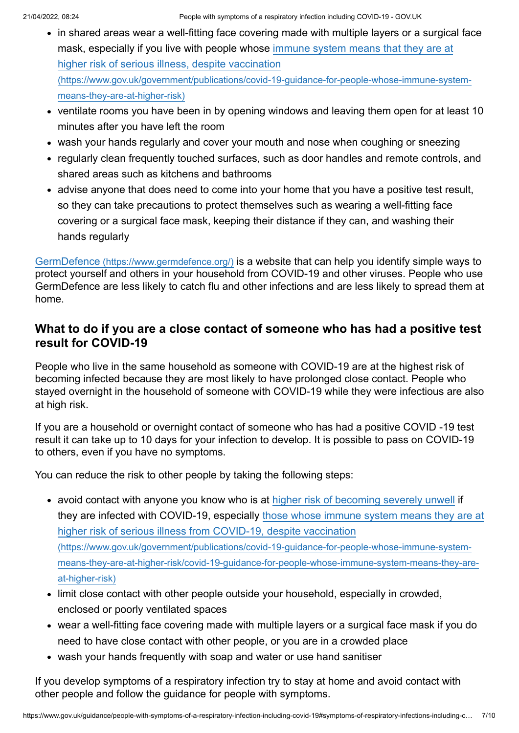- in shared areas wear a well-fitting face covering made with multiple layers or a surgical face [mask, especially if you live with people whose immune system means that they are at](https://www.gov.uk/government/publications/covid-19-guidance-for-people-whose-immune-system-means-they-are-at-higher-risk) higher risk of serious illness, despite vaccination (https://www.gov.uk/government/publications/covid-19-guidance-for-people-whose-immune-systemmeans-they-are-at-higher-risk)
- ventilate rooms you have been in by opening windows and leaving them open for at least 10 minutes after you have left the room
- wash your hands regularly and cover your mouth and nose when coughing or sneezing
- regularly clean frequently touched surfaces, such as door handles and remote controls, and shared areas such as kitchens and bathrooms
- advise anyone that does need to come into your home that you have a positive test result, so they can take precautions to protect themselves such as wearing a well-fitting face covering or a surgical face mask, keeping their distance if they can, and washing their hands regularly

GermDefence [\(https://www.germdefence.org/\)](https://www.germdefence.org/) is a website that can help you identify simple ways to protect yourself and others in your household from COVID-19 and other viruses. People who use GermDefence are less likely to catch flu and other infections and are less likely to spread them at home.

#### <span id="page-6-0"></span>**What to do if you are a close contact of someone who has had a positive test result for COVID-19**

People who live in the same household as someone with COVID-19 are at the highest risk of becoming infected because they are most likely to have prolonged close contact. People who stayed overnight in the household of someone with COVID-19 while they were infectious are also at high risk.

If you are a household or overnight contact of someone who has had a positive COVID -19 test result it can take up to 10 days for your infection to develop. It is possible to pass on COVID-19 to others, even if you have no symptoms.

You can reduce the risk to other people by taking the following steps:

- avoid contact with anyone you know who is at [higher risk of becoming severely unwell](#page-1-1) if [they are infected with COVID-19, especially those whose immune system means they are at](https://www.gov.uk/government/publications/covid-19-guidance-for-people-whose-immune-system-means-they-are-at-higher-risk/covid-19-guidance-for-people-whose-immune-system-means-they-are-at-higher-risk) higher risk of serious illness from COVID-19, despite vaccination (https://www.gov.uk/government/publications/covid-19-guidance-for-people-whose-immune-systemmeans-they-are-at-higher-risk/covid-19-guidance-for-people-whose-immune-system-means-they-areat-higher-risk)
- limit close contact with other people outside your household, especially in crowded, enclosed or poorly ventilated spaces
- wear a well-fitting face covering made with multiple layers or a surgical face mask if you do need to have close contact with other people, or you are in a crowded place
- wash your hands frequently with soap and water or use hand sanitiser

If you develop symptoms of a respiratory infection try to stay at home and avoid contact with other people and follow the guidance for people with symptoms.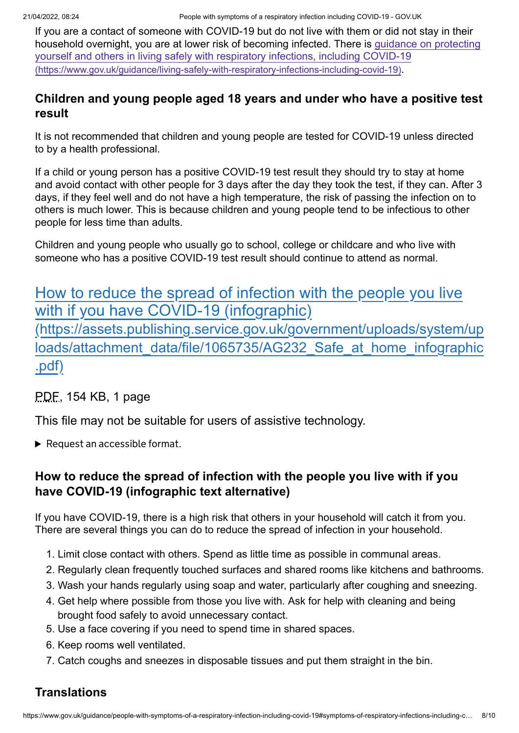If you are a contact of someone with COVID-19 but do not live with them or did not stay in their [household overnight, you are at lower risk of becoming infected. There is guidance on protecting](https://www.gov.uk/guidance/living-safely-with-respiratory-infections-including-covid-19) yourself and others in living safely with respiratory infections, including COVID-19 (https://www.gov.uk/guidance/living-safely-with-respiratory-infections-including-covid-19).

#### <span id="page-7-0"></span>**Children and young people aged 18 years and under who have a positive test result**

It is not recommended that children and young people are tested for COVID-19 unless directed to by a health professional.

If a child or young person has a positive COVID-19 test result they should try to stay at home and avoid contact with other people for 3 days after the day they took the test, if they can. After 3 days, if they feel well and do not have a high temperature, the risk of passing the infection on to others is much lower. This is because children and young people tend to be infectious to other people for less time than adults.

Children and young people who usually go to school, college or childcare and who live with someone who has a positive COVID-19 test result should continue to attend as normal.

# [How to reduce the spread of infection with the people you live](https://assets.publishing.service.gov.uk/government/uploads/system/uploads/attachment_data/file/1065735/AG232_Safe_at_home_infographic.pdf) with if you have COVID-19 (infographic) (https://assets.publishing.service.gov.uk/government/uploads/system/up loads/attachment\_data/file/1065735/AG232\_Safe\_at\_home\_infographic .pdf)

PDF, 154 KB, 1 page

This file may not be suitable for users of assistive technology.

Request an accessible format.

### **How to reduce the spread of infection with the people you live with if you have COVID-19 (infographic text alternative)**

If you have COVID-19, there is a high risk that others in your household will catch it from you. There are several things you can do to reduce the spread of infection in your household.

- 1. Limit close contact with others. Spend as little time as possible in communal areas.
- 2. Regularly clean frequently touched surfaces and shared rooms like kitchens and bathrooms.
- 3. Wash your hands regularly using soap and water, particularly after coughing and sneezing.
- 4. Get help where possible from those you live with. Ask for help with cleaning and being brought food safely to avoid unnecessary contact.
- 5. Use a face covering if you need to spend time in shared spaces.
- 6. Keep rooms well ventilated.
- 7. Catch coughs and sneezes in disposable tissues and put them straight in the bin.

# <span id="page-7-1"></span>**Translations**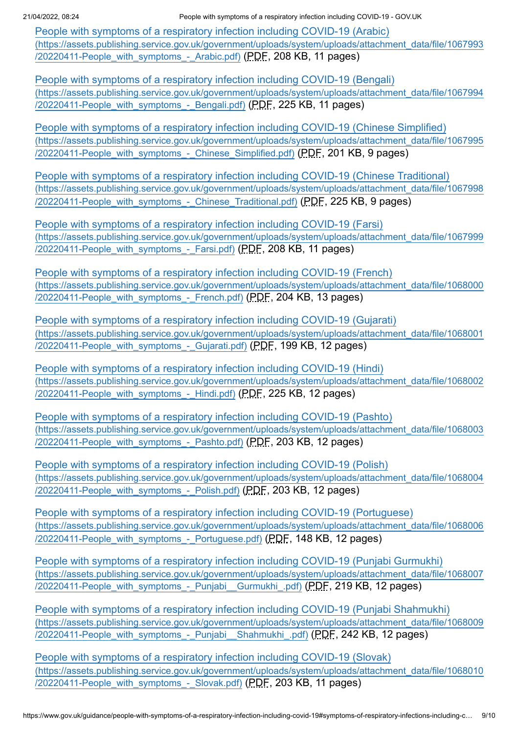21/04/2022, 08:24 People with symptoms of a respiratory infection including COVID-19 - GOV.UK

People with symptoms of a respiratory infection including COVID-19 (Arabic) [\(https://assets.publishing.service.gov.uk/government/uploads/system/uploads/attachment\\_data/file/1067993](https://assets.publishing.service.gov.uk/government/uploads/system/uploads/attachment_data/file/1067993/20220411-People_with_symptoms_-_Arabic.pdf) /20220411-People with symptoms - Arabic.pdf) (PDF, 208 KB, 11 pages)

People with symptoms of a respiratory infection including COVID-19 (Bengali) [\(https://assets.publishing.service.gov.uk/government/uploads/system/uploads/attachment\\_data/file/1067994](https://assets.publishing.service.gov.uk/government/uploads/system/uploads/attachment_data/file/1067994/20220411-People_with_symptoms_-_Bengali.pdf) /20220411-People\_with\_symptoms\_-\_Bengali.pdf) (PDF, 225 KB, 11 pages)

[People with symptoms of a respiratory infection including COVID-19 \(Chinese Simplified\)](https://assets.publishing.service.gov.uk/government/uploads/system/uploads/attachment_data/file/1067995/20220411-People_with_symptoms_-_Chinese_Simplified.pdf) (https://assets.publishing.service.gov.uk/government/uploads/system/uploads/attachment\_data/file/1067995 /20220411-People with symptoms - Chinese Simplified.pdf) (PDF, 201 KB, 9 pages)

[People with symptoms of a respiratory infection including COVID-19 \(Chinese Traditional\)](https://assets.publishing.service.gov.uk/government/uploads/system/uploads/attachment_data/file/1067998/20220411-People_with_symptoms_-_Chinese_Traditional.pdf) (https://assets.publishing.service.gov.uk/government/uploads/system/uploads/attachment\_data/file/1067998 /20220411-People\_with\_symptoms - Chinese\_Traditional.pdf) (PDF, 225 KB, 9 pages)

People with symptoms of a respiratory infection including COVID-19 (Farsi) [\(https://assets.publishing.service.gov.uk/government/uploads/system/uploads/attachment\\_data/file/1067999](https://assets.publishing.service.gov.uk/government/uploads/system/uploads/attachment_data/file/1067999/20220411-People_with_symptoms_-_Farsi.pdf) /20220411-People with symptoms - Farsi.pdf) (PDF, 208 KB, 11 pages)

People with symptoms of a respiratory infection including COVID-19 (French) [\(https://assets.publishing.service.gov.uk/government/uploads/system/uploads/attachment\\_data/file/1068000](https://assets.publishing.service.gov.uk/government/uploads/system/uploads/attachment_data/file/1068000/20220411-People_with_symptoms_-_French.pdf) /20220411-People\_with\_symptoms\_-\_French.pdf) (PDF, 204 KB, 13 pages)

People with symptoms of a respiratory infection including COVID-19 (Gujarati) [\(https://assets.publishing.service.gov.uk/government/uploads/system/uploads/attachment\\_data/file/1068001](https://assets.publishing.service.gov.uk/government/uploads/system/uploads/attachment_data/file/1068001/20220411-People_with_symptoms_-_Gujarati.pdf) /20220411-People\_with\_symptoms\_-\_Gujarati.pdf) (PDF, 199 KB, 12 pages)

People with symptoms of a respiratory infection including COVID-19 (Hindi) [\(https://assets.publishing.service.gov.uk/government/uploads/system/uploads/attachment\\_data/file/1068002](https://assets.publishing.service.gov.uk/government/uploads/system/uploads/attachment_data/file/1068002/20220411-People_with_symptoms_-_Hindi.pdf) /20220411-People\_with\_symptoms\_-\_Hindi.pdf) (PDF, 225 KB, 12 pages)

People with symptoms of a respiratory infection including COVID-19 (Pashto) [\(https://assets.publishing.service.gov.uk/government/uploads/system/uploads/attachment\\_data/file/1068003](https://assets.publishing.service.gov.uk/government/uploads/system/uploads/attachment_data/file/1068003/20220411-People_with_symptoms_-_Pashto.pdf) /20220411-People\_with\_symptoms\_-\_Pashto.pdf) (PDF, 203 KB, 12 pages)

People with symptoms of a respiratory infection including COVID-19 (Polish) [\(https://assets.publishing.service.gov.uk/government/uploads/system/uploads/attachment\\_data/file/1068004](https://assets.publishing.service.gov.uk/government/uploads/system/uploads/attachment_data/file/1068004/20220411-People_with_symptoms_-_Polish.pdf) /20220411-People\_with\_symptoms\_-\_Polish.pdf) (PDF, 203 KB, 12 pages)

People with symptoms of a respiratory infection including COVID-19 (Portuguese) [\(https://assets.publishing.service.gov.uk/government/uploads/system/uploads/attachment\\_data/file/1068006](https://assets.publishing.service.gov.uk/government/uploads/system/uploads/attachment_data/file/1068006/20220411-People_with_symptoms_-_Portuguese.pdf) /20220411-People with symptoms - Portuguese.pdf) (PDF, 148 KB, 12 pages)

[People with symptoms of a respiratory infection including COVID-19 \(Punjabi Gurmukhi\)](https://assets.publishing.service.gov.uk/government/uploads/system/uploads/attachment_data/file/1068007/20220411-People_with_symptoms_-_Punjabi__Gurmukhi_.pdf) (https://assets.publishing.service.gov.uk/government/uploads/system/uploads/attachment\_data/file/1068007 /20220411-People\_with\_symptoms\_-\_Punjabi\_\_Gurmukhi\_.pdf) (PDF, 219 KB, 12 pages)

[People with symptoms of a respiratory infection including COVID-19 \(Punjabi Shahmukhi\)](https://assets.publishing.service.gov.uk/government/uploads/system/uploads/attachment_data/file/1068009/20220411-People_with_symptoms_-_Punjabi__Shahmukhi_.pdf) (https://assets.publishing.service.gov.uk/government/uploads/system/uploads/attachment\_data/file/1068009 /20220411-People\_with\_symptoms\_-\_Punjabi\_\_Shahmukhi\_.pdf) (PDF, 242 KB, 12 pages)

People with symptoms of a respiratory infection including COVID-19 (Slovak) [\(https://assets.publishing.service.gov.uk/government/uploads/system/uploads/attachment\\_data/file/1068010](https://assets.publishing.service.gov.uk/government/uploads/system/uploads/attachment_data/file/1068010/20220411-People_with_symptoms_-_Slovak.pdf) /20220411-People\_with\_symptoms\_-\_Slovak.pdf) (PDF, 203 KB, 11 pages)